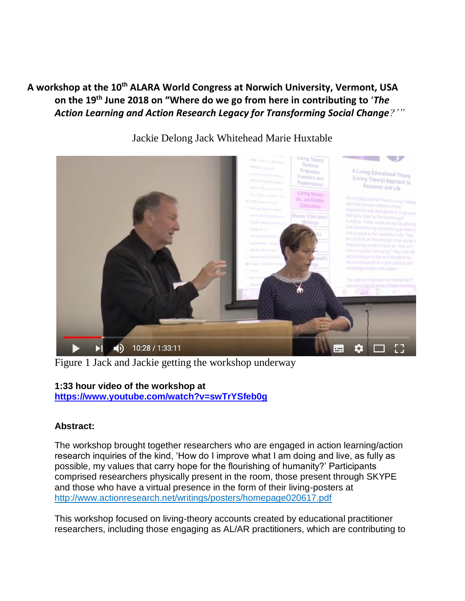**A workshop at the 10th ALARA World Congress at Norwich University, Vermont, USA on the 19th June 2018 on "Where do we go from here in contributing to** '*The Action Learning and Action Research Legacy for Transforming Social Change?'"*



Jackie Delong Jack Whitehead Marie Huxtable

Figure 1 Jack and Jackie getting the workshop underway

## **1:33 hour video of the workshop at**

**<https://www.youtube.com/watch?v=swTrYSfeb0g>**

## **Abstract:**

The workshop brought together researchers who are engaged in action learning/action research inquiries of the kind, 'How do I improve what I am doing and live, as fully as possible, my values that carry hope for the flourishing of humanity?' Participants comprised researchers physically present in the room, those present through SKYPE and those who have a virtual presence in the form of their living-posters at <http://www.actionresearch.net/writings/posters/homepage020617.pdf>

This workshop focused on living-theory accounts created by educational practitioner researchers, including those engaging as AL/AR practitioners, which are contributing to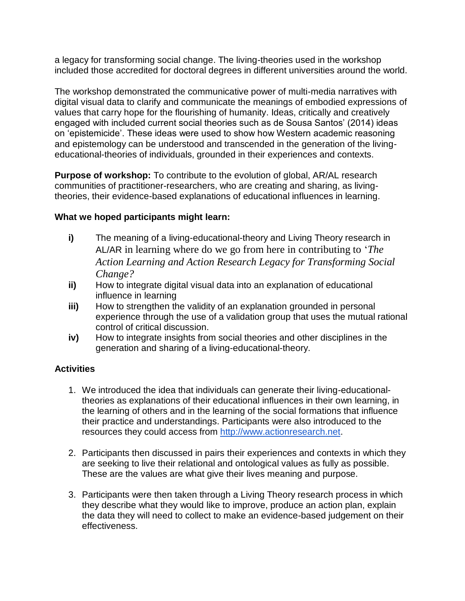a legacy for transforming social change. The living-theories used in the workshop included those accredited for doctoral degrees in different universities around the world.

The workshop demonstrated the communicative power of multi-media narratives with digital visual data to clarify and communicate the meanings of embodied expressions of values that carry hope for the flourishing of humanity. Ideas, critically and creatively engaged with included current social theories such as de Sousa Santos' (2014) ideas on 'epistemicide'. These ideas were used to show how Western academic reasoning and epistemology can be understood and transcended in the generation of the livingeducational-theories of individuals, grounded in their experiences and contexts.

**Purpose of workshop:** To contribute to the evolution of global, AR/AL research communities of practitioner-researchers, who are creating and sharing, as livingtheories, their evidence-based explanations of educational influences in learning.

## **What we hoped participants might learn:**

- **i)** The meaning of a living-educational-theory and Living Theory research in AL/AR in learning where do we go from here in contributing to '*The Action Learning and Action Research Legacy for Transforming Social Change?*
- **ii)** How to integrate digital visual data into an explanation of educational influence in learning
- **iii)** How to strengthen the validity of an explanation grounded in personal experience through the use of a validation group that uses the mutual rational control of critical discussion.
- **iv)** How to integrate insights from social theories and other disciplines in the generation and sharing of a living-educational-theory.

## **Activities**

- 1. We introduced the idea that individuals can generate their living-educationaltheories as explanations of their educational influences in their own learning, in the learning of others and in the learning of the social formations that influence their practice and understandings. Participants were also introduced to the resources they could access from [http://www.actionresearch.net.](http://www.actionresearch.net/)
- 2. Participants then discussed in pairs their experiences and contexts in which they are seeking to live their relational and ontological values as fully as possible. These are the values are what give their lives meaning and purpose.
- 3. Participants were then taken through a Living Theory research process in which they describe what they would like to improve, produce an action plan, explain the data they will need to collect to make an evidence-based judgement on their effectiveness.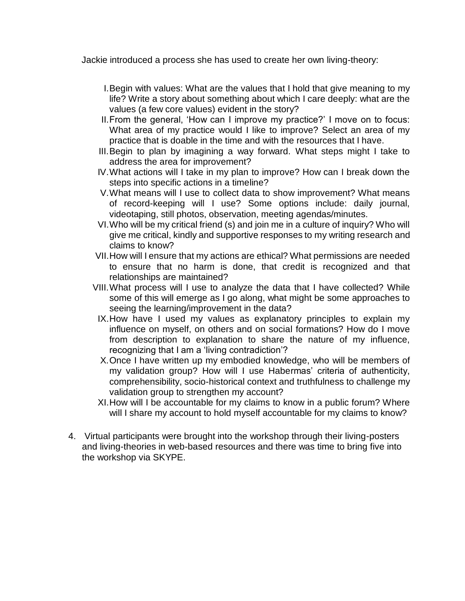Jackie introduced a process she has used to create her own living-theory:

- I.Begin with values: What are the values that I hold that give meaning to my life? Write a story about something about which I care deeply: what are the values (a few core values) evident in the story?
- II.From the general, 'How can I improve my practice?' I move on to focus: What area of my practice would I like to improve? Select an area of my practice that is doable in the time and with the resources that I have.
- III.Begin to plan by imagining a way forward. What steps might I take to address the area for improvement?
- IV.What actions will I take in my plan to improve? How can I break down the steps into specific actions in a timeline?
- V.What means will I use to collect data to show improvement? What means of record-keeping will I use? Some options include: daily journal, videotaping, still photos, observation, meeting agendas/minutes.
- VI.Who will be my critical friend (s) and join me in a culture of inquiry? Who will give me critical, kindly and supportive responses to my writing research and claims to know?
- VII.How will I ensure that my actions are ethical? What permissions are needed to ensure that no harm is done, that credit is recognized and that relationships are maintained?
- VIII.What process will I use to analyze the data that I have collected? While some of this will emerge as I go along, what might be some approaches to seeing the learning/improvement in the data?
- IX.How have I used my values as explanatory principles to explain my influence on myself, on others and on social formations? How do I move from description to explanation to share the nature of my influence, recognizing that I am a 'living contradiction'?
- X.Once I have written up my embodied knowledge, who will be members of my validation group? How will I use Habermas' criteria of authenticity, comprehensibility, socio-historical context and truthfulness to challenge my validation group to strengthen my account?
- XI.How will I be accountable for my claims to know in a public forum? Where will I share my account to hold myself accountable for my claims to know?
- 4. Virtual participants were brought into the workshop through their living-posters and living-theories in web-based resources and there was time to bring five into the workshop via SKYPE.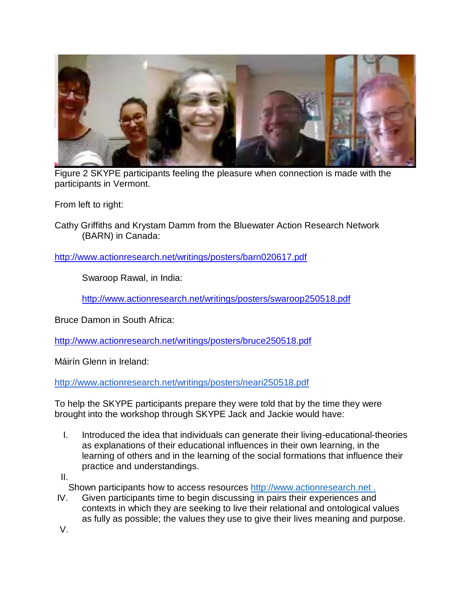

Figure 2 SKYPE participants feeling the pleasure when connection is made with the participants in Vermont.

From left to right:

Cathy Griffiths and Krystam Damm from the Bluewater Action Research Network (BARN) in Canada:

<http://www.actionresearch.net/writings/posters/barn020617.pdf>

Swaroop Rawal, in India:

<http://www.actionresearch.net/writings/posters/swaroop250518.pdf>

Bruce Damon in South Africa:

<http://www.actionresearch.net/writings/posters/bruce250518.pdf>

Máirín Glenn in Ireland:

<http://www.actionresearch.net/writings/posters/neari250518.pdf>

To help the SKYPE participants prepare they were told that by the time they were brought into the workshop through SKYPE Jack and Jackie would have:

I. Introduced the idea that individuals can generate their living-educational-theories as explanations of their educational influences in their own learning, in the learning of others and in the learning of the social formations that influence their practice and understandings.

II.

Shown participants how to access resources http://www.actionresearch.net.

IV. Given participants time to begin discussing in pairs their experiences and contexts in which they are seeking to live their relational and ontological values as fully as possible; the values they use to give their lives meaning and purpose.

V.